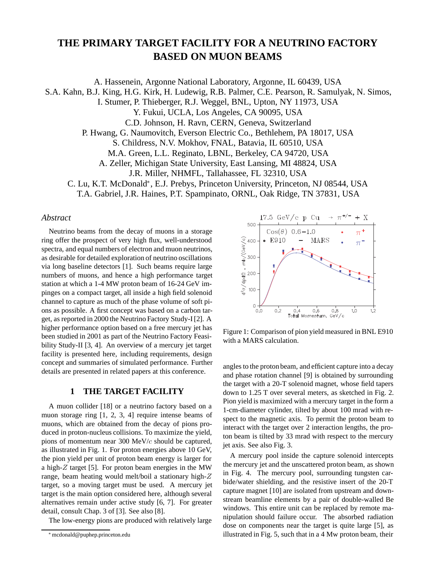## **THE PRIMARY TARGET FACILITY FOR A NEUTRINO FACTORY BASED ON MUON BEAMS**

A. Hassenein, Argonne National Laboratory, Argonne, IL 60439, USA

S.A. Kahn, B.J. King, H.G. Kirk, H. Ludewig, R.B. Palmer, C.E. Pearson, R. Samulyak, N. Simos,

I. Stumer, P. Thieberger, R.J. Weggel, BNL, Upton, NY 11973, USA

Y. Fukui, UCLA, Los Angeles, CA 90095, USA

C.D. Johnson, H. Ravn, CERN, Geneva, Switzerland

P. Hwang, G. Naumovitch, Everson Electric Co., Bethlehem, PA 18017, USA

S. Childress, N.V. Mokhov, FNAL, Batavia, IL 60510, USA

M.A. Green, L.L. Reginato, LBNL, Berkeley, CA 94720, USA

A. Zeller, Michigan State University, East Lansing, MI 48824, USA

J.R. Miller, NHMFL, Tallahassee, FL 32310, USA

C. Lu, K.T. McDonald∗, E.J. Prebys, Princeton University, Princeton, NJ 08544, USA

T.A. Gabriel, J.R. Haines, P.T. Spampinato, ORNL, Oak Ridge, TN 37831, USA

## *Abstract*

Neutrino beams from the decay of muons in a storage ring offer the prospect of very high flux, well-understood spectra, and equal numbers of electron and muon neutrinos, as desirable for detailed exploration of neutrino oscillations via long baseline detectors [1]. Such beams require large numbers of muons, and hence a high performance target station at which a 1-4 MW proton beam of 16-24 GeV impinges on a compact target, all inside a high field solenoid channel to capture as much of the phase volume of soft pions as possible. A first concept was based on a carbon target, as reported in 2000 the Neutrino Factory Study-I [2]. A higher performance option based on a free mercury jet has been studied in 2001 as part of the Neutrino Factory Feasibility Study-II [3, 4]. An overview of a mercury jet target facility is presented here, including requirements, design concept and summaries of simulated performance. Further details are presented in related papers at this conference.

## **1 THE TARGET FACILITY**

A muon collider [18] or a neutrino factory based on a muon storage ring [1, 2, 3, 4] require intense beams of muons, which are obtained from the decay of pions produced in proton-nucleus collisions. To maximize the yield, pions of momentum near 300 MeV/*c* should be captured, as illustrated in Fig. 1. For proton energies above 10 GeV, the pion yield per unit of proton beam energy is larger for a high-*Z* target [5]. For proton beam energies in the MW range, beam heating would melt/boil a stationary high-*Z* target, so a moving target must be used. A mercury jet target is the main option considered here, although several alternatives remain under active study [6, 7]. For greater detail, consult Chap. 3 of [3]. See also [8].

The low-energy pions are produced with relatively large



Figure 1: Comparison of pion yield measured in BNL E910 with a MARS calculation.

angles to the proton beam, and efficient capture into a decay and phase rotation channel [9] is obtained by surrounding the target with a 20-T solenoid magnet, whose field tapers down to 1.25 T over several meters, as sketched in Fig. 2. Pion yield is maximized with a mercury target in the form a 1-cm-diameter cylinder, tilted by about 100 mrad with respect to the magnetic axis. To permit the proton beam to interact with the target over 2 interaction lengths, the proton beam is tilted by 33 mrad with respect to the mercury jet axis. See also Fig. 3.

A mercury pool inside the capture solenoid intercepts the mercury jet and the unscattered proton beam, as shown in Fig. 4. The mercury pool, surrounding tungsten carbide/water shielding, and the resistive insert of the 20-T capture magnet [10] are isolated from upstream and downstream beamline elements by a pair of double-walled Be windows. This entire unit can be replaced by remote manipulation should failure occur. The absorbed radiation dose on components near the target is quite large [5], as illustrated in Fig. 5, such that in a 4 Mw proton beam, their

<sup>∗</sup>mcdonald@puphep.princeton.edu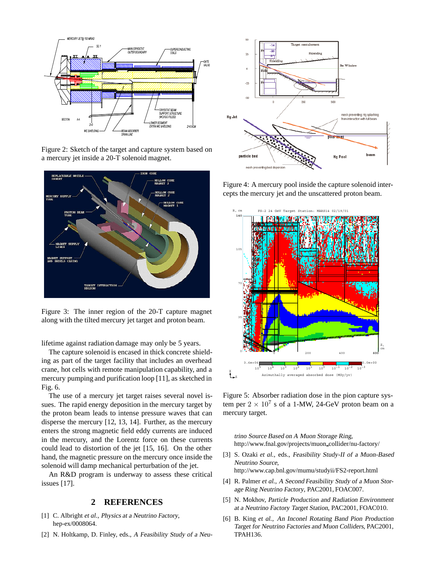

Figure 2: Sketch of the target and capture system based on a mercury jet inside a 20-T solenoid magnet.



Figure 3: The inner region of the 20-T capture magnet along with the tilted mercury jet target and proton beam.

lifetime against radiation damage may only be 5 years.

The capture solenoid is encased in thick concrete shielding as part of the target facility that includes an overhead crane, hot cells with remote manipulation capability, and a mercury pumping and purification loop [11], as sketched in Fig. 6.

The use of a mercury jet target raises several novel issues. The rapid energy deposition in the mercury target by the proton beam leads to intense pressure waves that can disperse the mercury [12, 13, 14]. Further, as the mercury enters the strong magnetic field eddy currents are induced in the mercury, and the Lorentz force on these currents could lead to distortion of the jet [15, 16]. On the other hand, the magnetic pressure on the mercury once inside the solenoid will damp mechanical perturbation of the jet.

An R&D program is underway to assess these critical issues [17].

## **2 REFERENCES**

- [1] C. Albright *et al.*, Physics at <sup>a</sup> Neutrino Factory, hep-ex/0008064.
- [2] N. Holtkamp, D. Finley, eds., <sup>A</sup> Feasibility Study of <sup>a</sup> Neu-



Figure 4: A mercury pool inside the capture solenoid intercepts the mercury jet and the unscattered proton beam.



Figure 5: Absorber radiation dose in the pion capture system per  $2 \times 10^7$  s of a 1-MW, 24-GeV proton beam on a mercury target.

trino Source Based on <sup>A</sup> Muon Storage Ring, http://www.fnal.gov/projects/muon collider/nu-factory/

- [3] S. Ozaki *et al.*, eds., Feasibility Study-II of <sup>a</sup> Muon-Based Neutrino Source, http://www.cap.bnl.gov/mumu/studyii/FS2-report.html
- [4] R. Palmer *et al.*, <sup>A</sup> Second Feasibility Study of <sup>a</sup> Muon Storage Ring Neutrino Factory, PAC2001, FOAC007.
- [5] N. Mokhov, Particle Production and Radiation Environment at <sup>a</sup> Neutrino Factory Target Station, PAC2001, FOAC010.
- [6] B. King *et al.*, An Inconel Rotating Band Pion Production Target for Neutrino Factories and Muon Colliders, PAC2001, TPAH136.